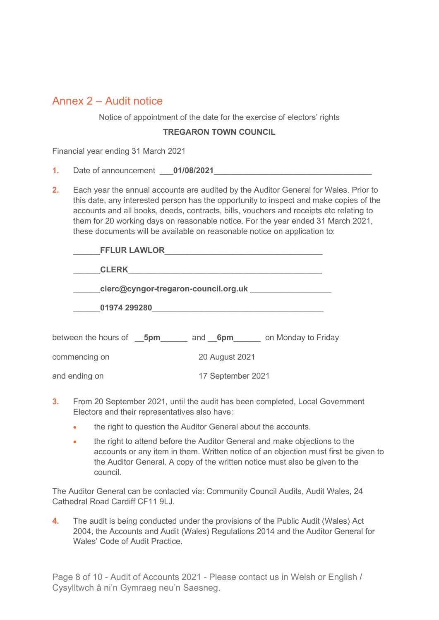## Annex 2 – Audit notice

Notice of appointment of the date for the exercise of electors' rights

#### TREGARON TOWN COUNCIL

Financial year ending 31 March 2021

| Date of announcement | 01/08/2021 |  |
|----------------------|------------|--|
|                      |            |  |

2. Each year the annual accounts are audited by the Auditor General for Wales. Prior to this date, any interested person has the opportunity to inspect and make copies of the accounts and all books, deeds, contracts, bills, vouchers and receipts etc relating to them for 20 working days on reasonable notice. For the year ended 31 March 2021, these documents will be available on reasonable notice on application to:

| <b>FFLUR LAWLOR</b> |                                                                                                        |  |  |  |
|---------------------|--------------------------------------------------------------------------------------------------------|--|--|--|
| <b>CLERK</b>        | clerc@cyngor-tregaron-council.org.uk<br>01974 299280<br><u> 1980 - Jan Sterling Sterling (d. 1980)</u> |  |  |  |
|                     |                                                                                                        |  |  |  |
|                     |                                                                                                        |  |  |  |
|                     | between the hours of $5pm$ $\rightarrow$ and $6pm$ $\rightarrow$ on Monday to Friday                   |  |  |  |
| commencing on       | 20 August 2021                                                                                         |  |  |  |
| and ending on       | 17 September 2021                                                                                      |  |  |  |

**3.** From 20 September 2021, until the audit has been completed, Local Government Electors and their representatives also have:

- the right to question the Auditor General about the accounts.
- the right to attend before the Auditor General and make objections to the accounts or any item in them. Written notice of an objection must first be given to the Auditor General. A copy of the written notice must also be given to the council.

The Auditor General can be contacted via: Community Council Audits, Audit Wales, 24 Cathedral Road Cardiff CF11 9LJ.

4. The audit is being conducted under the provisions of the Public Audit (Wales) Act 2004, the Accounts and Audit (Wales) Regulations 2014 and the Auditor General for Wales' Code of Audit Practice.

Page 8 of 10 - Audit of Accounts 2021 - Please contact us in Welsh or English / Cysylltwch â ni'n Gymraeg neu'n Saesneg.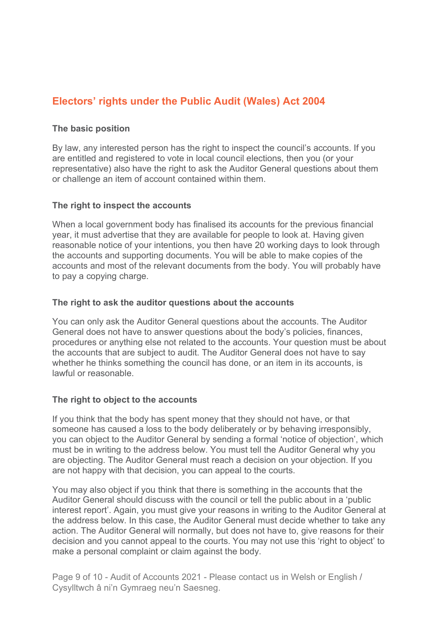# Electors' rights under the Public Audit (Wales) Act 2004

### The basic position

By law, any interested person has the right to inspect the council's accounts. If you are entitled and registered to vote in local council elections, then you (or your representative) also have the right to ask the Auditor General questions about them or challenge an item of account contained within them.

#### The right to inspect the accounts

When a local government body has finalised its accounts for the previous financial year, it must advertise that they are available for people to look at. Having given reasonable notice of your intentions, you then have 20 working days to look through the accounts and supporting documents. You will be able to make copies of the accounts and most of the relevant documents from the body. You will probably have to pay a copying charge.

#### The right to ask the auditor questions about the accounts

You can only ask the Auditor General questions about the accounts. The Auditor General does not have to answer questions about the body's policies, finances, procedures or anything else not related to the accounts. Your question must be about the accounts that are subject to audit. The Auditor General does not have to say whether he thinks something the council has done, or an item in its accounts, is lawful or reasonable.

#### The right to object to the accounts

If you think that the body has spent money that they should not have, or that someone has caused a loss to the body deliberately or by behaving irresponsibly, you can object to the Auditor General by sending a formal 'notice of objection', which must be in writing to the address below. You must tell the Auditor General why you are objecting. The Auditor General must reach a decision on your objection. If you are not happy with that decision, you can appeal to the courts.

You may also object if you think that there is something in the accounts that the Auditor General should discuss with the council or tell the public about in a 'public interest report'. Again, you must give your reasons in writing to the Auditor General at the address below. In this case, the Auditor General must decide whether to take any action. The Auditor General will normally, but does not have to, give reasons for their decision and you cannot appeal to the courts. You may not use this 'right to object' to make a personal complaint or claim against the body.

Page 9 of 10 - Audit of Accounts 2021 - Please contact us in Welsh or English / Cysylltwch â ni'n Gymraeg neu'n Saesneg.